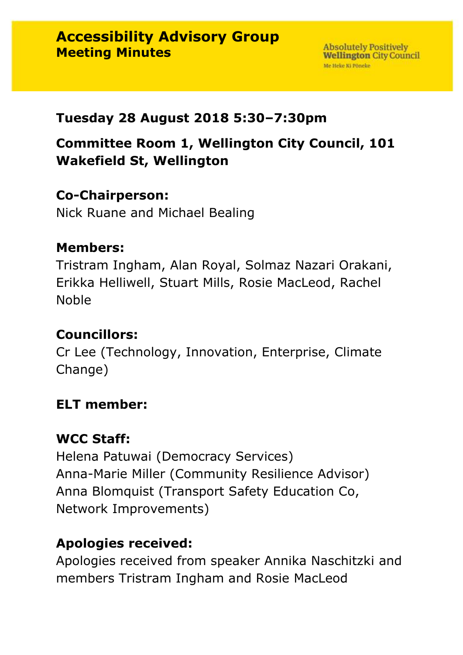### **Tuesday 28 August 2018 5:30–7:30pm**

**Committee Room 1, Wellington City Council, 101 Wakefield St, Wellington**

### **Co-Chairperson:**

Nick Ruane and Michael Bealing

### **Members:**

Tristram Ingham, Alan Royal, Solmaz Nazari Orakani, Erikka Helliwell, Stuart Mills, Rosie MacLeod, Rachel Noble

## **Councillors:**

Cr Lee (Technology, Innovation, Enterprise, Climate Change)

### **ELT member:**

# **WCC Staff:**

Helena Patuwai (Democracy Services) Anna-Marie Miller (Community Resilience Advisor) Anna Blomquist (Transport Safety Education Co, Network Improvements)

# **Apologies received:**

Apologies received from speaker Annika Naschitzki and members Tristram Ingham and Rosie MacLeod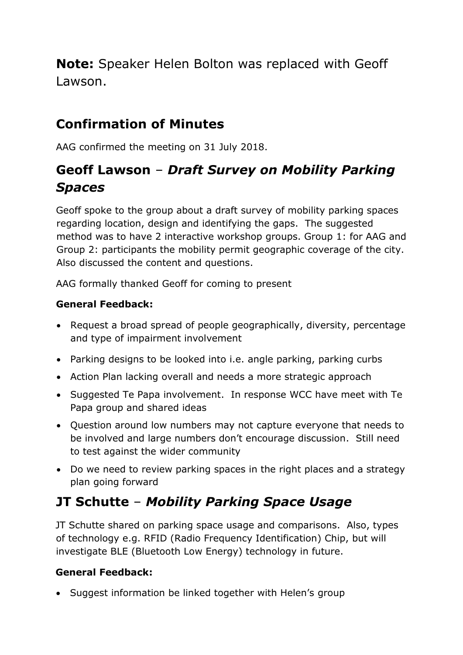**Note:** Speaker Helen Bolton was replaced with Geoff Lawson.

# **Confirmation of Minutes**

AAG confirmed the meeting on 31 July 2018.

## **Geoff Lawson** – *Draft Survey on Mobility Parking Spaces*

Geoff spoke to the group about a draft survey of mobility parking spaces regarding location, design and identifying the gaps. The suggested method was to have 2 interactive workshop groups. Group 1: for AAG and Group 2: participants the mobility permit geographic coverage of the city. Also discussed the content and questions.

AAG formally thanked Geoff for coming to present

### **General Feedback:**

- Request a broad spread of people geographically, diversity, percentage and type of impairment involvement
- Parking designs to be looked into i.e. angle parking, parking curbs
- Action Plan lacking overall and needs a more strategic approach
- Suggested Te Papa involvement. In response WCC have meet with Te Papa group and shared ideas
- Question around low numbers may not capture everyone that needs to be involved and large numbers don't encourage discussion. Still need to test against the wider community
- Do we need to review parking spaces in the right places and a strategy plan going forward

# **JT Schutte** – *Mobility Parking Space Usage*

JT Schutte shared on parking space usage and comparisons. Also, types of technology e.g. RFID (Radio Frequency Identification) Chip, but will investigate BLE (Bluetooth Low Energy) technology in future.

### **General Feedback:**

• Suggest information be linked together with Helen's group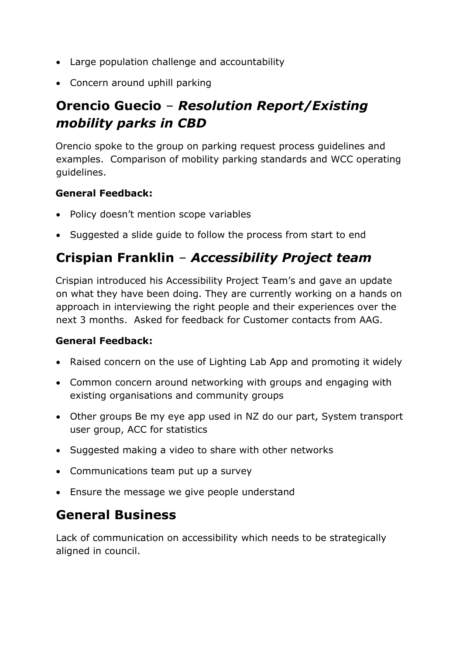- Large population challenge and accountability
- Concern around uphill parking

# **Orencio Guecio** – *Resolution Report/Existing mobility parks in CBD*

Orencio spoke to the group on parking request process guidelines and examples. Comparison of mobility parking standards and WCC operating guidelines.

#### **General Feedback:**

- Policy doesn't mention scope variables
- Suggested a slide guide to follow the process from start to end

### **Crispian Franklin** – *Accessibility Project team*

Crispian introduced his Accessibility Project Team's and gave an update on what they have been doing. They are currently working on a hands on approach in interviewing the right people and their experiences over the next 3 months. Asked for feedback for Customer contacts from AAG.

#### **General Feedback:**

- Raised concern on the use of Lighting Lab App and promoting it widely
- Common concern around networking with groups and engaging with existing organisations and community groups
- Other groups Be my eye app used in NZ do our part, System transport user group, ACC for statistics
- Suggested making a video to share with other networks
- Communications team put up a survey
- Ensure the message we give people understand

# **General Business**

Lack of communication on accessibility which needs to be strategically aligned in council.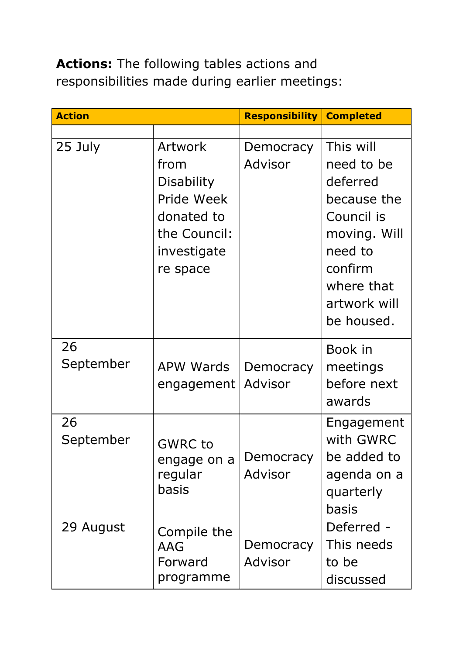**Actions:** The following tables actions and responsibilities made during earlier meetings:

| <b>Action</b>   |                                                                                                                    | <b>Responsibility   Completed</b> |                                                                                                                                                    |
|-----------------|--------------------------------------------------------------------------------------------------------------------|-----------------------------------|----------------------------------------------------------------------------------------------------------------------------------------------------|
| 25 July         | <b>Artwork</b><br>from<br><b>Disability</b><br>Pride Week<br>donated to<br>the Council:<br>investigate<br>re space | Democracy<br>Advisor              | This will<br>need to be<br>deferred<br>because the<br>Council is<br>moving. Will<br>need to<br>confirm<br>where that<br>artwork will<br>be housed. |
| 26<br>September | <b>APW Wards</b><br>engagement                                                                                     | Democracy<br>Advisor              | Book in<br>meetings<br>before next<br>awards                                                                                                       |
| 26<br>September | <b>GWRC</b> to<br>engage on a<br>regular<br>basis                                                                  | Democracy<br>Advisor              | Engagement<br>with GWRC<br>be added to<br>agenda on a<br>quarterly<br>basis                                                                        |
| 29 August       | Compile the<br>AAG<br>Forward<br>programme                                                                         | Democracy<br>Advisor              | Deferred -<br>This needs<br>to be<br>discussed                                                                                                     |